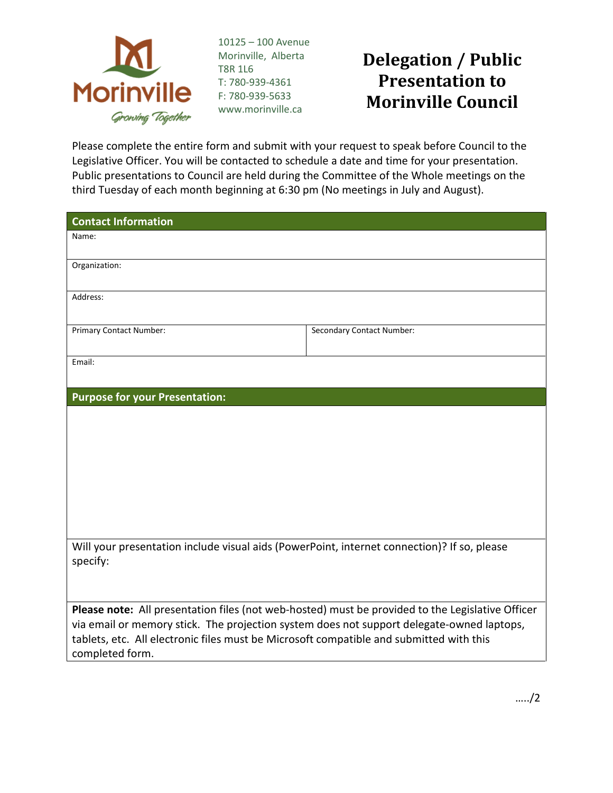

10125 – 100 Avenue Morinville, Alberta T8R 1L6 T: 780-939-4361 F: 780-939-5633 www.morinville.ca

## **Delegation / Public Presentation to Morinville Council**

Please complete the entire form and submit with your request to speak before Council to the Legislative Officer. You will be contacted to schedule a date and time for your presentation. Public presentations to Council are held during the Committee of the Whole meetings on the third Tuesday of each month beginning at 6:30 pm (No meetings in July and August).

| <b>Contact Information</b>                                                                                                                                                           |                           |
|--------------------------------------------------------------------------------------------------------------------------------------------------------------------------------------|---------------------------|
| Name:                                                                                                                                                                                |                           |
| Organization:                                                                                                                                                                        |                           |
|                                                                                                                                                                                      |                           |
| Address:                                                                                                                                                                             |                           |
| Primary Contact Number:                                                                                                                                                              | Secondary Contact Number: |
|                                                                                                                                                                                      |                           |
| Email:                                                                                                                                                                               |                           |
|                                                                                                                                                                                      |                           |
| <b>Purpose for your Presentation:</b>                                                                                                                                                |                           |
|                                                                                                                                                                                      |                           |
|                                                                                                                                                                                      |                           |
|                                                                                                                                                                                      |                           |
|                                                                                                                                                                                      |                           |
|                                                                                                                                                                                      |                           |
|                                                                                                                                                                                      |                           |
| Will your presentation include visual aids (PowerPoint, internet connection)? If so, please                                                                                          |                           |
| specify:                                                                                                                                                                             |                           |
|                                                                                                                                                                                      |                           |
| Please note: All presentation files (not web-hosted) must be provided to the Legislative Officer                                                                                     |                           |
| via email or memory stick. The projection system does not support delegate-owned laptops,<br>tablets, etc. All electronic files must be Microsoft compatible and submitted with this |                           |
| completed form.                                                                                                                                                                      |                           |

…../2